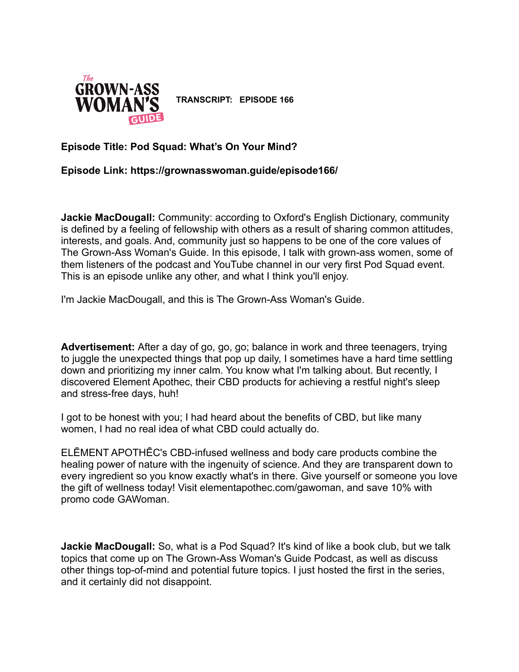

**TRANSCRIPT: EPISODE 166**

## **Episode Title: Pod Squad: What's On Your Mind?**

**Episode Link: https://grownasswoman.guide/episode166/**

**Jackie MacDougall:** Community: according to Oxford's English Dictionary, community is defined by a feeling of fellowship with others as a result of sharing common attitudes, interests, and goals. And, community just so happens to be one of the core values of The Grown-Ass Woman's Guide. In this episode, I talk with grown-ass women, some of them listeners of the podcast and YouTube channel in our very first Pod Squad event. This is an episode unlike any other, and what I think you'll enjoy.

I'm Jackie MacDougall, and this is The Grown-Ass Woman's Guide.

**Advertisement:** After a day of go, go, go; balance in work and three teenagers, trying to juggle the unexpected things that pop up daily, I sometimes have a hard time settling down and prioritizing my inner calm. You know what I'm talking about. But recently, I discovered Element Apothec, their CBD products for achieving a restful night's sleep and stress-free days, huh!

I got to be honest with you; I had heard about the benefits of CBD, but like many women, I had no real idea of what CBD could actually do.

ELĒMENT APOTHĒC's CBD-infused wellness and body care products combine the healing power of nature with the ingenuity of science. And they are transparent down to every ingredient so you know exactly what's in there. Give yourself or someone you love the gift of wellness today! Visit elementapothec.com/gawoman, and save 10% with promo code GAWoman.

**Jackie MacDougall:** So, what is a Pod Squad? It's kind of like a book club, but we talk topics that come up on The Grown-Ass Woman's Guide Podcast, as well as discuss other things top-of-mind and potential future topics. I just hosted the first in the series, and it certainly did not disappoint.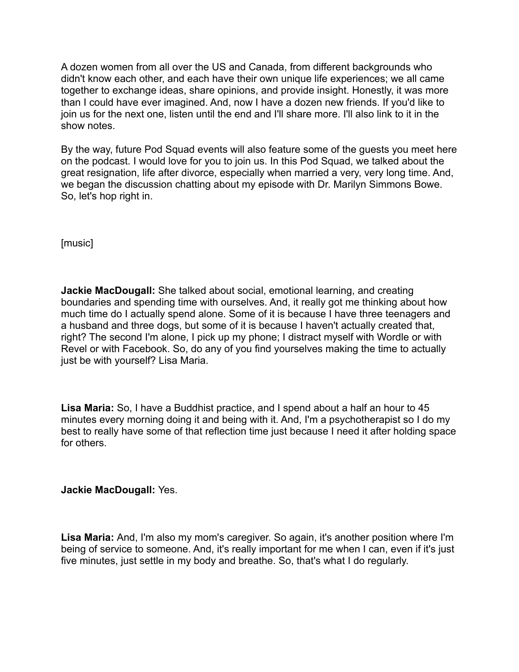A dozen women from all over the US and Canada, from different backgrounds who didn't know each other, and each have their own unique life experiences; we all came together to exchange ideas, share opinions, and provide insight. Honestly, it was more than I could have ever imagined. And, now I have a dozen new friends. If you'd like to join us for the next one, listen until the end and I'll share more. I'll also link to it in the show notes.

By the way, future Pod Squad events will also feature some of the guests you meet here on the podcast. I would love for you to join us. In this Pod Squad, we talked about the great resignation, life after divorce, especially when married a very, very long time. And, we began the discussion chatting about my episode with Dr. Marilyn Simmons Bowe. So, let's hop right in.

[music]

**Jackie MacDougall:** She talked about social, emotional learning, and creating boundaries and spending time with ourselves. And, it really got me thinking about how much time do I actually spend alone. Some of it is because I have three teenagers and a husband and three dogs, but some of it is because I haven't actually created that, right? The second I'm alone, I pick up my phone; I distract myself with Wordle or with Revel or with Facebook. So, do any of you find yourselves making the time to actually just be with yourself? Lisa Maria.

**Lisa Maria:** So, I have a Buddhist practice, and I spend about a half an hour to 45 minutes every morning doing it and being with it. And, I'm a psychotherapist so I do my best to really have some of that reflection time just because I need it after holding space for others.

## **Jackie MacDougall:** Yes.

**Lisa Maria:** And, I'm also my mom's caregiver. So again, it's another position where I'm being of service to someone. And, it's really important for me when I can, even if it's just five minutes, just settle in my body and breathe. So, that's what I do regularly.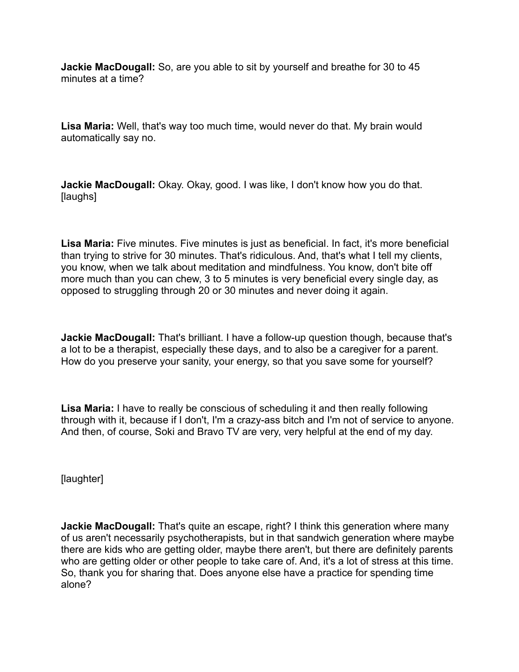**Jackie MacDougall:** So, are you able to sit by yourself and breathe for 30 to 45 minutes at a time?

**Lisa Maria:** Well, that's way too much time, would never do that. My brain would automatically say no.

**Jackie MacDougall:** Okay. Okay, good. I was like, I don't know how you do that. [laughs]

**Lisa Maria:** Five minutes. Five minutes is just as beneficial. In fact, it's more beneficial than trying to strive for 30 minutes. That's ridiculous. And, that's what I tell my clients, you know, when we talk about meditation and mindfulness. You know, don't bite off more much than you can chew, 3 to 5 minutes is very beneficial every single day, as opposed to struggling through 20 or 30 minutes and never doing it again.

**Jackie MacDougall:** That's brilliant. I have a follow-up question though, because that's a lot to be a therapist, especially these days, and to also be a caregiver for a parent. How do you preserve your sanity, your energy, so that you save some for yourself?

**Lisa Maria:** I have to really be conscious of scheduling it and then really following through with it, because if I don't, I'm a crazy-ass bitch and I'm not of service to anyone. And then, of course, Soki and Bravo TV are very, very helpful at the end of my day.

[laughter]

**Jackie MacDougall:** That's quite an escape, right? I think this generation where many of us aren't necessarily psychotherapists, but in that sandwich generation where maybe there are kids who are getting older, maybe there aren't, but there are definitely parents who are getting older or other people to take care of. And, it's a lot of stress at this time. So, thank you for sharing that. Does anyone else have a practice for spending time alone?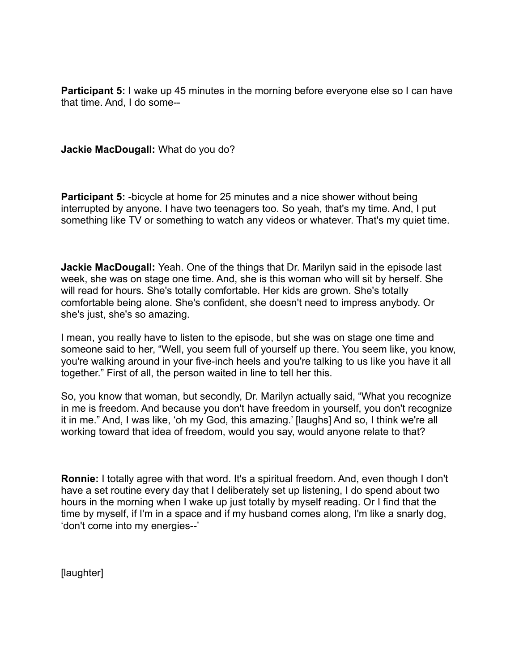**Participant 5:** I wake up 45 minutes in the morning before everyone else so I can have that time. And, I do some--

**Jackie MacDougall:** What do you do?

**Participant 5:** -bicycle at home for 25 minutes and a nice shower without being interrupted by anyone. I have two teenagers too. So yeah, that's my time. And, I put something like TV or something to watch any videos or whatever. That's my quiet time.

**Jackie MacDougall:** Yeah. One of the things that Dr. Marilyn said in the episode last week, she was on stage one time. And, she is this woman who will sit by herself. She will read for hours. She's totally comfortable. Her kids are grown. She's totally comfortable being alone. She's confident, she doesn't need to impress anybody. Or she's just, she's so amazing.

I mean, you really have to listen to the episode, but she was on stage one time and someone said to her, "Well, you seem full of yourself up there. You seem like, you know, you're walking around in your five-inch heels and you're talking to us like you have it all together." First of all, the person waited in line to tell her this.

So, you know that woman, but secondly, Dr. Marilyn actually said, "What you recognize in me is freedom. And because you don't have freedom in yourself, you don't recognize it in me." And, I was like, 'oh my God, this amazing.' [laughs] And so, I think we're all working toward that idea of freedom, would you say, would anyone relate to that?

**Ronnie:** I totally agree with that word. It's a spiritual freedom. And, even though I don't have a set routine every day that I deliberately set up listening, I do spend about two hours in the morning when I wake up just totally by myself reading. Or I find that the time by myself, if I'm in a space and if my husband comes along, I'm like a snarly dog, 'don't come into my energies--'

[laughter]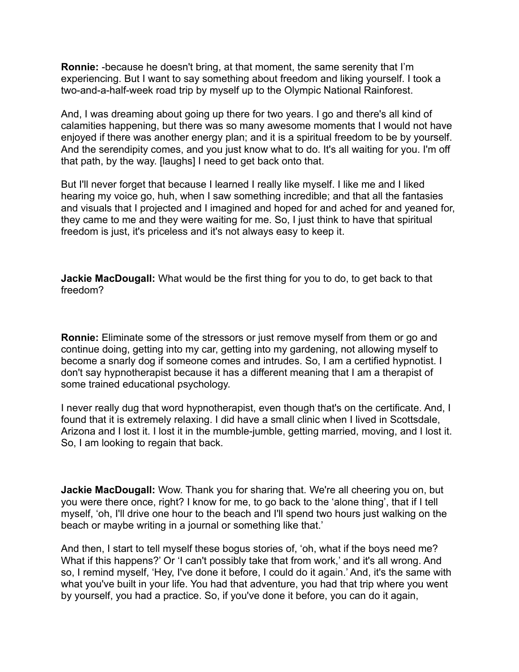**Ronnie:** -because he doesn't bring, at that moment, the same serenity that I'm experiencing. But I want to say something about freedom and liking yourself. I took a two-and-a-half-week road trip by myself up to the Olympic National Rainforest.

And, I was dreaming about going up there for two years. I go and there's all kind of calamities happening, but there was so many awesome moments that I would not have enjoyed if there was another energy plan; and it is a spiritual freedom to be by yourself. And the serendipity comes, and you just know what to do. It's all waiting for you. I'm off that path, by the way. [laughs] I need to get back onto that.

But I'll never forget that because I learned I really like myself. I like me and I liked hearing my voice go, huh, when I saw something incredible; and that all the fantasies and visuals that I projected and I imagined and hoped for and ached for and yeaned for, they came to me and they were waiting for me. So, I just think to have that spiritual freedom is just, it's priceless and it's not always easy to keep it.

**Jackie MacDougall:** What would be the first thing for you to do, to get back to that freedom?

**Ronnie:** Eliminate some of the stressors or just remove myself from them or go and continue doing, getting into my car, getting into my gardening, not allowing myself to become a snarly dog if someone comes and intrudes. So, I am a certified hypnotist. I don't say hypnotherapist because it has a different meaning that I am a therapist of some trained educational psychology.

I never really dug that word hypnotherapist, even though that's on the certificate. And, I found that it is extremely relaxing. I did have a small clinic when I lived in Scottsdale, Arizona and I lost it. I lost it in the mumble-jumble, getting married, moving, and I lost it. So, I am looking to regain that back.

**Jackie MacDougall:** Wow. Thank you for sharing that. We're all cheering you on, but you were there once, right? I know for me, to go back to the 'alone thing', that if I tell myself, 'oh, I'll drive one hour to the beach and I'll spend two hours just walking on the beach or maybe writing in a journal or something like that.'

And then, I start to tell myself these bogus stories of, 'oh, what if the boys need me? What if this happens?' Or 'I can't possibly take that from work,' and it's all wrong. And so, I remind myself, 'Hey, I've done it before, I could do it again.' And, it's the same with what you've built in your life. You had that adventure, you had that trip where you went by yourself, you had a practice. So, if you've done it before, you can do it again,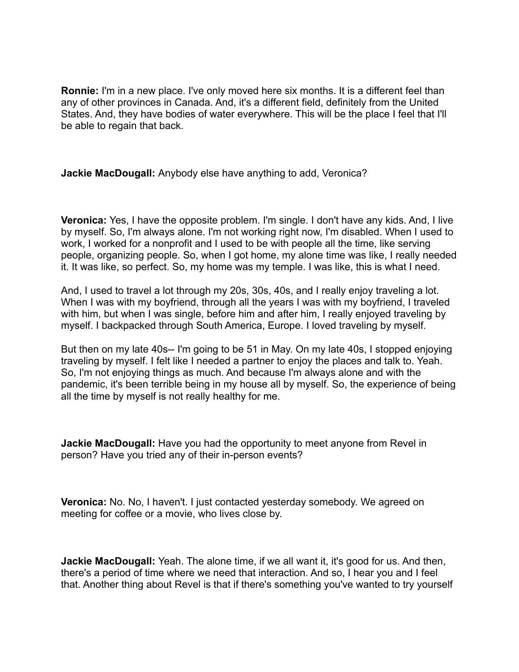**Ronnie:** I'm in a new place. I've only moved here six months. It is a different feel than any of other provinces in Canada. And, it's a different field, definitely from the United States. And, they have bodies of water everywhere. This will be the place I feel that I'll be able to regain that back.

**Jackie MacDougall:** Anybody else have anything to add, Veronica?

**Veronica:** Yes, I have the opposite problem. I'm single. I don't have any kids. And, I live by myself. So, I'm always alone. I'm not working right now, I'm disabled. When I used to work, I worked for a nonprofit and I used to be with people all the time, like serving people, organizing people. So, when I got home, my alone time was like, I really needed it. It was like, so perfect. So, my home was my temple. I was like, this is what I need.

And, I used to travel a lot through my 20s, 30s, 40s, and I really enjoy traveling a lot. When I was with my boyfriend, through all the years I was with my boyfriend, I traveled with him, but when I was single, before him and after him, I really enjoyed traveling by myself. I backpacked through South America, Europe. I loved traveling by myself.

But then on my late 40s-- I'm going to be 51 in May. On my late 40s, I stopped enjoying traveling by myself. I felt like I needed a partner to enjoy the places and talk to. Yeah. So, I'm not enjoying things as much. And because I'm always alone and with the pandemic, it's been terrible being in my house all by myself. So, the experience of being all the time by myself is not really healthy for me.

**Jackie MacDougall:** Have you had the opportunity to meet anyone from Revel in person? Have you tried any of their in-person events?

**Veronica:** No. No, I haven't. I just contacted yesterday somebody. We agreed on meeting for coffee or a movie, who lives close by.

**Jackie MacDougall:** Yeah. The alone time, if we all want it, it's good for us. And then, there's a period of time where we need that interaction. And so, I hear you and I feel that. Another thing about Revel is that if there's something you've wanted to try yourself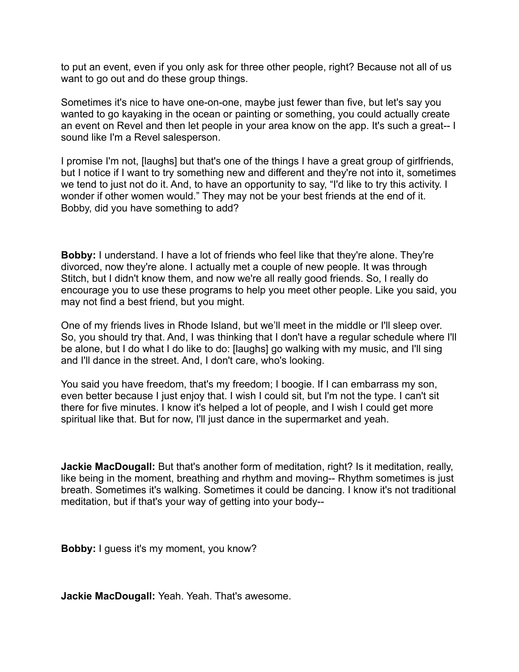to put an event, even if you only ask for three other people, right? Because not all of us want to go out and do these group things.

Sometimes it's nice to have one-on-one, maybe just fewer than five, but let's say you wanted to go kayaking in the ocean or painting or something, you could actually create an event on Revel and then let people in your area know on the app. It's such a great-- I sound like I'm a Revel salesperson.

I promise I'm not, [laughs] but that's one of the things I have a great group of girlfriends, but I notice if I want to try something new and different and they're not into it, sometimes we tend to just not do it. And, to have an opportunity to say, "I'd like to try this activity. I wonder if other women would." They may not be your best friends at the end of it. Bobby, did you have something to add?

**Bobby:** I understand. I have a lot of friends who feel like that they're alone. They're divorced, now they're alone. I actually met a couple of new people. It was through Stitch, but I didn't know them, and now we're all really good friends. So, I really do encourage you to use these programs to help you meet other people. Like you said, you may not find a best friend, but you might.

One of my friends lives in Rhode Island, but we'll meet in the middle or I'll sleep over. So, you should try that. And, I was thinking that I don't have a regular schedule where I'll be alone, but I do what I do like to do: [laughs] go walking with my music, and I'll sing and I'll dance in the street. And, I don't care, who's looking.

You said you have freedom, that's my freedom; I boogie. If I can embarrass my son, even better because I just enjoy that. I wish I could sit, but I'm not the type. I can't sit there for five minutes. I know it's helped a lot of people, and I wish I could get more spiritual like that. But for now, I'll just dance in the supermarket and yeah.

**Jackie MacDougall:** But that's another form of meditation, right? Is it meditation, really, like being in the moment, breathing and rhythm and moving-- Rhythm sometimes is just breath. Sometimes it's walking. Sometimes it could be dancing. I know it's not traditional meditation, but if that's your way of getting into your body--

**Bobby:** I guess it's my moment, you know?

**Jackie MacDougall:** Yeah. Yeah. That's awesome.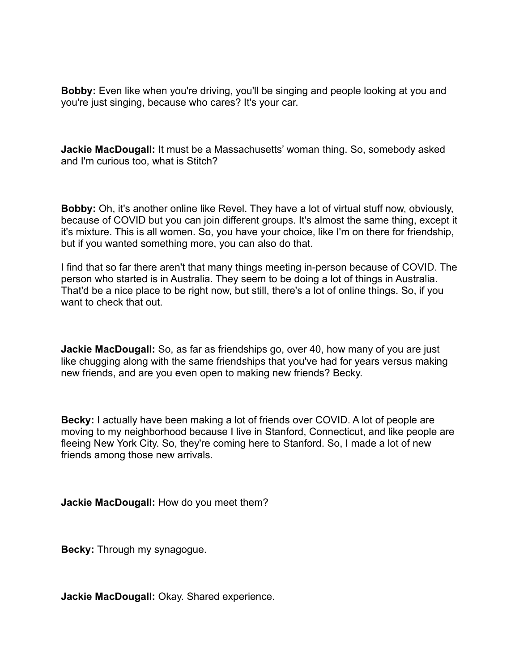**Bobby:** Even like when you're driving, you'll be singing and people looking at you and you're just singing, because who cares? It's your car.

**Jackie MacDougall:** It must be a Massachusetts' woman thing. So, somebody asked and I'm curious too, what is Stitch?

**Bobby:** Oh, it's another online like Revel. They have a lot of virtual stuff now, obviously, because of COVID but you can join different groups. It's almost the same thing, except it it's mixture. This is all women. So, you have your choice, like I'm on there for friendship, but if you wanted something more, you can also do that.

I find that so far there aren't that many things meeting in-person because of COVID. The person who started is in Australia. They seem to be doing a lot of things in Australia. That'd be a nice place to be right now, but still, there's a lot of online things. So, if you want to check that out.

**Jackie MacDougall:** So, as far as friendships go, over 40, how many of you are just like chugging along with the same friendships that you've had for years versus making new friends, and are you even open to making new friends? Becky.

**Becky:** I actually have been making a lot of friends over COVID. A lot of people are moving to my neighborhood because I live in Stanford, Connecticut, and like people are fleeing New York City. So, they're coming here to Stanford. So, I made a lot of new friends among those new arrivals.

**Jackie MacDougall:** How do you meet them?

**Becky:** Through my synagogue.

**Jackie MacDougall:** Okay. Shared experience.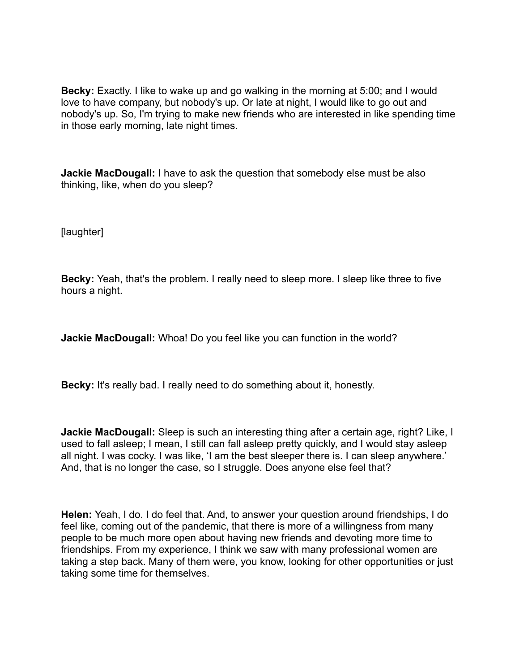**Becky:** Exactly. I like to wake up and go walking in the morning at 5:00; and I would love to have company, but nobody's up. Or late at night, I would like to go out and nobody's up. So, I'm trying to make new friends who are interested in like spending time in those early morning, late night times.

**Jackie MacDougall:** I have to ask the question that somebody else must be also thinking, like, when do you sleep?

[laughter]

**Becky:** Yeah, that's the problem. I really need to sleep more. I sleep like three to five hours a night.

**Jackie MacDougall:** Whoa! Do you feel like you can function in the world?

**Becky:** It's really bad. I really need to do something about it, honestly.

**Jackie MacDougall:** Sleep is such an interesting thing after a certain age, right? Like, I used to fall asleep; I mean, I still can fall asleep pretty quickly, and I would stay asleep all night. I was cocky. I was like, 'I am the best sleeper there is. I can sleep anywhere.' And, that is no longer the case, so I struggle. Does anyone else feel that?

**Helen:** Yeah, I do. I do feel that. And, to answer your question around friendships, I do feel like, coming out of the pandemic, that there is more of a willingness from many people to be much more open about having new friends and devoting more time to friendships. From my experience, I think we saw with many professional women are taking a step back. Many of them were, you know, looking for other opportunities or just taking some time for themselves.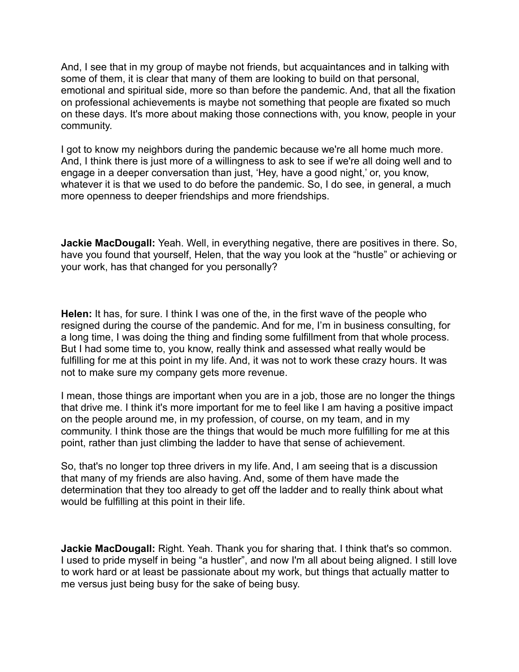And, I see that in my group of maybe not friends, but acquaintances and in talking with some of them, it is clear that many of them are looking to build on that personal, emotional and spiritual side, more so than before the pandemic. And, that all the fixation on professional achievements is maybe not something that people are fixated so much on these days. It's more about making those connections with, you know, people in your community.

I got to know my neighbors during the pandemic because we're all home much more. And, I think there is just more of a willingness to ask to see if we're all doing well and to engage in a deeper conversation than just, 'Hey, have a good night,' or, you know, whatever it is that we used to do before the pandemic. So, I do see, in general, a much more openness to deeper friendships and more friendships.

**Jackie MacDougall:** Yeah. Well, in everything negative, there are positives in there. So, have you found that yourself, Helen, that the way you look at the "hustle" or achieving or your work, has that changed for you personally?

**Helen:** It has, for sure. I think I was one of the, in the first wave of the people who resigned during the course of the pandemic. And for me, I'm in business consulting, for a long time, I was doing the thing and finding some fulfillment from that whole process. But I had some time to, you know, really think and assessed what really would be fulfilling for me at this point in my life. And, it was not to work these crazy hours. It was not to make sure my company gets more revenue.

I mean, those things are important when you are in a job, those are no longer the things that drive me. I think it's more important for me to feel like I am having a positive impact on the people around me, in my profession, of course, on my team, and in my community. I think those are the things that would be much more fulfilling for me at this point, rather than just climbing the ladder to have that sense of achievement.

So, that's no longer top three drivers in my life. And, I am seeing that is a discussion that many of my friends are also having. And, some of them have made the determination that they too already to get off the ladder and to really think about what would be fulfilling at this point in their life.

**Jackie MacDougall:** Right. Yeah. Thank you for sharing that. I think that's so common. I used to pride myself in being "a hustler", and now I'm all about being aligned. I still love to work hard or at least be passionate about my work, but things that actually matter to me versus just being busy for the sake of being busy.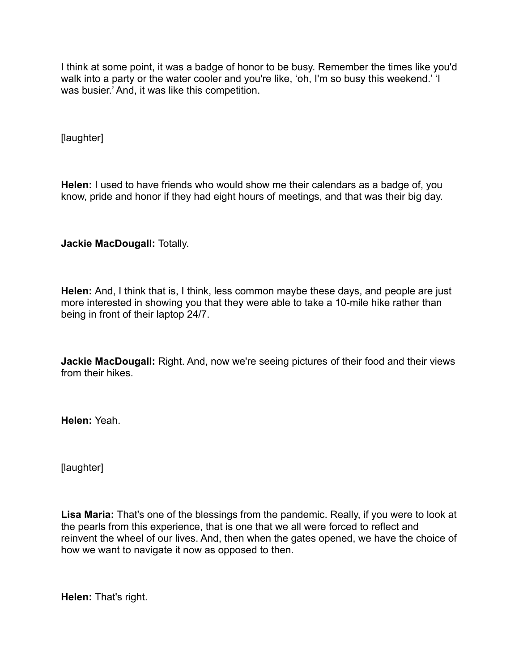I think at some point, it was a badge of honor to be busy. Remember the times like you'd walk into a party or the water cooler and you're like, 'oh, I'm so busy this weekend.' 'I was busier.' And, it was like this competition.

[laughter]

**Helen:** I used to have friends who would show me their calendars as a badge of, you know, pride and honor if they had eight hours of meetings, and that was their big day.

**Jackie MacDougall:** Totally.

**Helen:** And, I think that is, I think, less common maybe these days, and people are just more interested in showing you that they were able to take a 10-mile hike rather than being in front of their laptop 24/7.

**Jackie MacDougall:** Right. And, now we're seeing pictures of their food and their views from their hikes.

**Helen:** Yeah.

[laughter]

**Lisa Maria:** That's one of the blessings from the pandemic. Really, if you were to look at the pearls from this experience, that is one that we all were forced to reflect and reinvent the wheel of our lives. And, then when the gates opened, we have the choice of how we want to navigate it now as opposed to then.

**Helen:** That's right.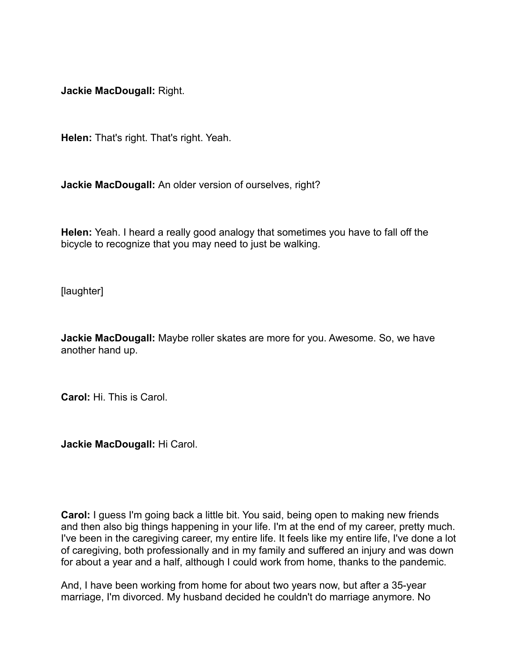**Jackie MacDougall:** Right.

**Helen:** That's right. That's right. Yeah.

**Jackie MacDougall:** An older version of ourselves, right?

**Helen:** Yeah. I heard a really good analogy that sometimes you have to fall off the bicycle to recognize that you may need to just be walking.

[laughter]

**Jackie MacDougall:** Maybe roller skates are more for you. Awesome. So, we have another hand up.

**Carol:** Hi. This is Carol.

**Jackie MacDougall:** Hi Carol.

**Carol:** I guess I'm going back a little bit. You said, being open to making new friends and then also big things happening in your life. I'm at the end of my career, pretty much. I've been in the caregiving career, my entire life. It feels like my entire life, I've done a lot of caregiving, both professionally and in my family and suffered an injury and was down for about a year and a half, although I could work from home, thanks to the pandemic.

And, I have been working from home for about two years now, but after a 35-year marriage, I'm divorced. My husband decided he couldn't do marriage anymore. No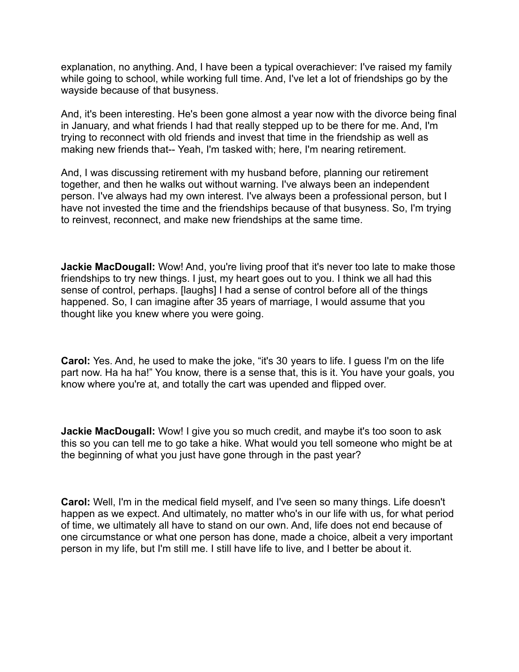explanation, no anything. And, I have been a typical overachiever: I've raised my family while going to school, while working full time. And, I've let a lot of friendships go by the wayside because of that busyness.

And, it's been interesting. He's been gone almost a year now with the divorce being final in January, and what friends I had that really stepped up to be there for me. And, I'm trying to reconnect with old friends and invest that time in the friendship as well as making new friends that-- Yeah, I'm tasked with; here, I'm nearing retirement.

And, I was discussing retirement with my husband before, planning our retirement together, and then he walks out without warning. I've always been an independent person. I've always had my own interest. I've always been a professional person, but I have not invested the time and the friendships because of that busyness. So, I'm trying to reinvest, reconnect, and make new friendships at the same time.

**Jackie MacDougall:** Wow! And, you're living proof that it's never too late to make those friendships to try new things. I just, my heart goes out to you. I think we all had this sense of control, perhaps. [laughs] I had a sense of control before all of the things happened. So, I can imagine after 35 years of marriage, I would assume that you thought like you knew where you were going.

**Carol:** Yes. And, he used to make the joke, "it's 30 years to life. I guess I'm on the life part now. Ha ha ha!" You know, there is a sense that, this is it. You have your goals, you know where you're at, and totally the cart was upended and flipped over.

**Jackie MacDougall:** Wow! I give you so much credit, and maybe it's too soon to ask this so you can tell me to go take a hike. What would you tell someone who might be at the beginning of what you just have gone through in the past year?

**Carol:** Well, I'm in the medical field myself, and I've seen so many things. Life doesn't happen as we expect. And ultimately, no matter who's in our life with us, for what period of time, we ultimately all have to stand on our own. And, life does not end because of one circumstance or what one person has done, made a choice, albeit a very important person in my life, but I'm still me. I still have life to live, and I better be about it.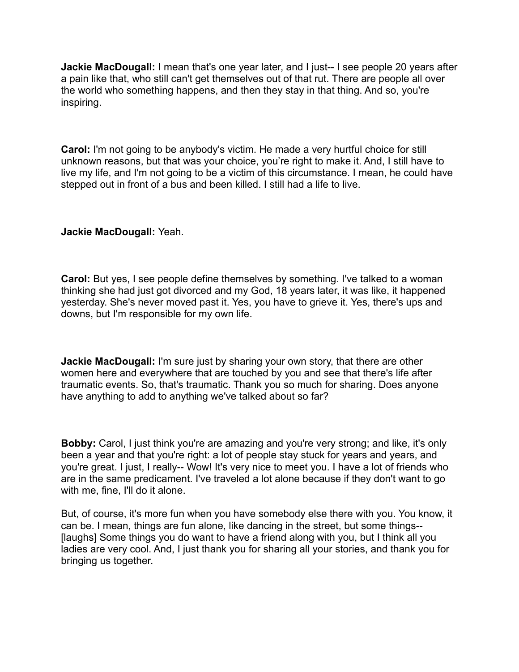**Jackie MacDougall:** I mean that's one year later, and I just-- I see people 20 years after a pain like that, who still can't get themselves out of that rut. There are people all over the world who something happens, and then they stay in that thing. And so, you're inspiring.

**Carol:** I'm not going to be anybody's victim. He made a very hurtful choice for still unknown reasons, but that was your choice, you're right to make it. And, I still have to live my life, and I'm not going to be a victim of this circumstance. I mean, he could have stepped out in front of a bus and been killed. I still had a life to live.

## **Jackie MacDougall:** Yeah.

**Carol:** But yes, I see people define themselves by something. I've talked to a woman thinking she had just got divorced and my God, 18 years later, it was like, it happened yesterday. She's never moved past it. Yes, you have to grieve it. Yes, there's ups and downs, but I'm responsible for my own life.

**Jackie MacDougall:** I'm sure just by sharing your own story, that there are other women here and everywhere that are touched by you and see that there's life after traumatic events. So, that's traumatic. Thank you so much for sharing. Does anyone have anything to add to anything we've talked about so far?

**Bobby:** Carol, I just think you're are amazing and you're very strong; and like, it's only been a year and that you're right: a lot of people stay stuck for years and years, and you're great. I just, I really-- Wow! It's very nice to meet you. I have a lot of friends who are in the same predicament. I've traveled a lot alone because if they don't want to go with me, fine, I'll do it alone.

But, of course, it's more fun when you have somebody else there with you. You know, it can be. I mean, things are fun alone, like dancing in the street, but some things-- [laughs] Some things you do want to have a friend along with you, but I think all you ladies are very cool. And, I just thank you for sharing all your stories, and thank you for bringing us together.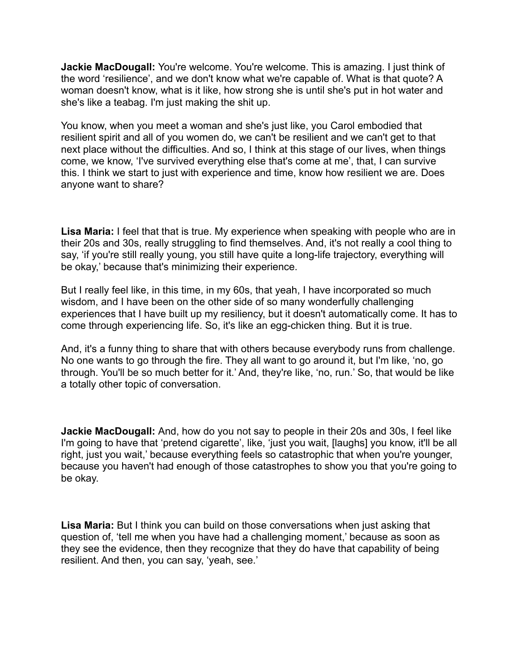**Jackie MacDougall:** You're welcome. You're welcome. This is amazing. I just think of the word 'resilience', and we don't know what we're capable of. What is that quote? A woman doesn't know, what is it like, how strong she is until she's put in hot water and she's like a teabag. I'm just making the shit up.

You know, when you meet a woman and she's just like, you Carol embodied that resilient spirit and all of you women do, we can't be resilient and we can't get to that next place without the difficulties. And so, I think at this stage of our lives, when things come, we know, 'I've survived everything else that's come at me', that, I can survive this. I think we start to just with experience and time, know how resilient we are. Does anyone want to share?

**Lisa Maria:** I feel that that is true. My experience when speaking with people who are in their 20s and 30s, really struggling to find themselves. And, it's not really a cool thing to say, 'if you're still really young, you still have quite a long-life trajectory, everything will be okay,' because that's minimizing their experience.

But I really feel like, in this time, in my 60s, that yeah, I have incorporated so much wisdom, and I have been on the other side of so many wonderfully challenging experiences that I have built up my resiliency, but it doesn't automatically come. It has to come through experiencing life. So, it's like an egg-chicken thing. But it is true.

And, it's a funny thing to share that with others because everybody runs from challenge. No one wants to go through the fire. They all want to go around it, but I'm like, 'no, go through. You'll be so much better for it.' And, they're like, 'no, run.' So, that would be like a totally other topic of conversation.

**Jackie MacDougall:** And, how do you not say to people in their 20s and 30s, I feel like I'm going to have that 'pretend cigarette', like, 'just you wait, [laughs] you know, it'll be all right, just you wait,' because everything feels so catastrophic that when you're younger, because you haven't had enough of those catastrophes to show you that you're going to be okay.

**Lisa Maria:** But I think you can build on those conversations when just asking that question of, 'tell me when you have had a challenging moment,' because as soon as they see the evidence, then they recognize that they do have that capability of being resilient. And then, you can say, 'yeah, see.'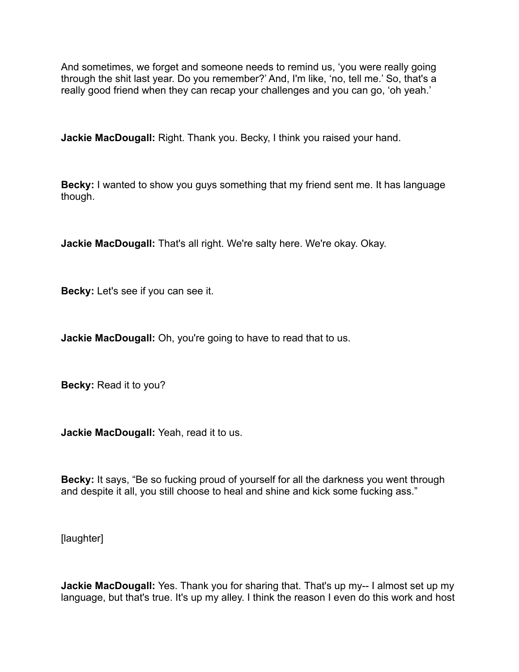And sometimes, we forget and someone needs to remind us, 'you were really going through the shit last year. Do you remember?' And, I'm like, 'no, tell me.' So, that's a really good friend when they can recap your challenges and you can go, 'oh yeah.'

**Jackie MacDougall:** Right. Thank you. Becky, I think you raised your hand.

**Becky:** I wanted to show you guys something that my friend sent me. It has language though.

**Jackie MacDougall:** That's all right. We're salty here. We're okay. Okay.

**Becky:** Let's see if you can see it.

**Jackie MacDougall:** Oh, you're going to have to read that to us.

**Becky:** Read it to you?

**Jackie MacDougall:** Yeah, read it to us.

**Becky:** It says, "Be so fucking proud of yourself for all the darkness you went through and despite it all, you still choose to heal and shine and kick some fucking ass."

[laughter]

**Jackie MacDougall:** Yes. Thank you for sharing that. That's up my-- I almost set up my language, but that's true. It's up my alley. I think the reason I even do this work and host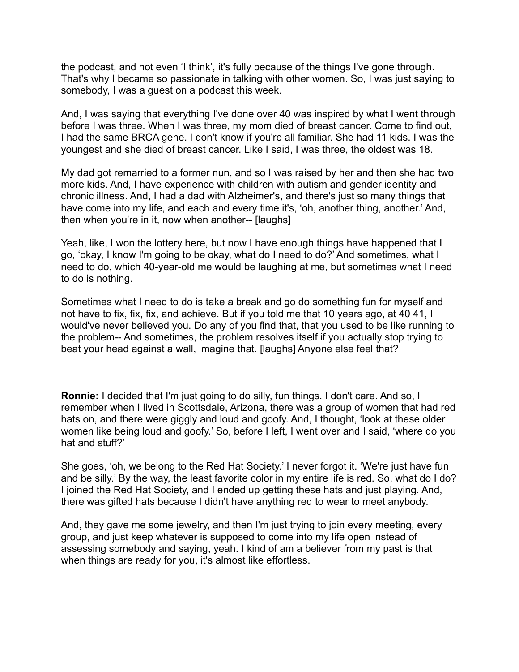the podcast, and not even 'I think', it's fully because of the things I've gone through. That's why I became so passionate in talking with other women. So, I was just saying to somebody, I was a guest on a podcast this week.

And, I was saying that everything I've done over 40 was inspired by what I went through before I was three. When I was three, my mom died of breast cancer. Come to find out, I had the same BRCA gene. I don't know if you're all familiar. She had 11 kids. I was the youngest and she died of breast cancer. Like I said, I was three, the oldest was 18.

My dad got remarried to a former nun, and so I was raised by her and then she had two more kids. And, I have experience with children with autism and gender identity and chronic illness. And, I had a dad with Alzheimer's, and there's just so many things that have come into my life, and each and every time it's, 'oh, another thing, another.' And, then when you're in it, now when another-- [laughs]

Yeah, like, I won the lottery here, but now I have enough things have happened that I go, 'okay, I know I'm going to be okay, what do I need to do?' And sometimes, what I need to do, which 40-year-old me would be laughing at me, but sometimes what I need to do is nothing.

Sometimes what I need to do is take a break and go do something fun for myself and not have to fix, fix, fix, and achieve. But if you told me that 10 years ago, at 40 41, I would've never believed you. Do any of you find that, that you used to be like running to the problem-- And sometimes, the problem resolves itself if you actually stop trying to beat your head against a wall, imagine that. [laughs] Anyone else feel that?

**Ronnie:** I decided that I'm just going to do silly, fun things. I don't care. And so, I remember when I lived in Scottsdale, Arizona, there was a group of women that had red hats on, and there were giggly and loud and goofy. And, I thought, 'look at these older women like being loud and goofy.' So, before I left, I went over and I said, 'where do you hat and stuff?'

She goes, 'oh, we belong to the Red Hat Society.' I never forgot it. 'We're just have fun and be silly.' By the way, the least favorite color in my entire life is red. So, what do I do? I joined the Red Hat Society, and I ended up getting these hats and just playing. And, there was gifted hats because I didn't have anything red to wear to meet anybody.

And, they gave me some jewelry, and then I'm just trying to join every meeting, every group, and just keep whatever is supposed to come into my life open instead of assessing somebody and saying, yeah. I kind of am a believer from my past is that when things are ready for you, it's almost like effortless.